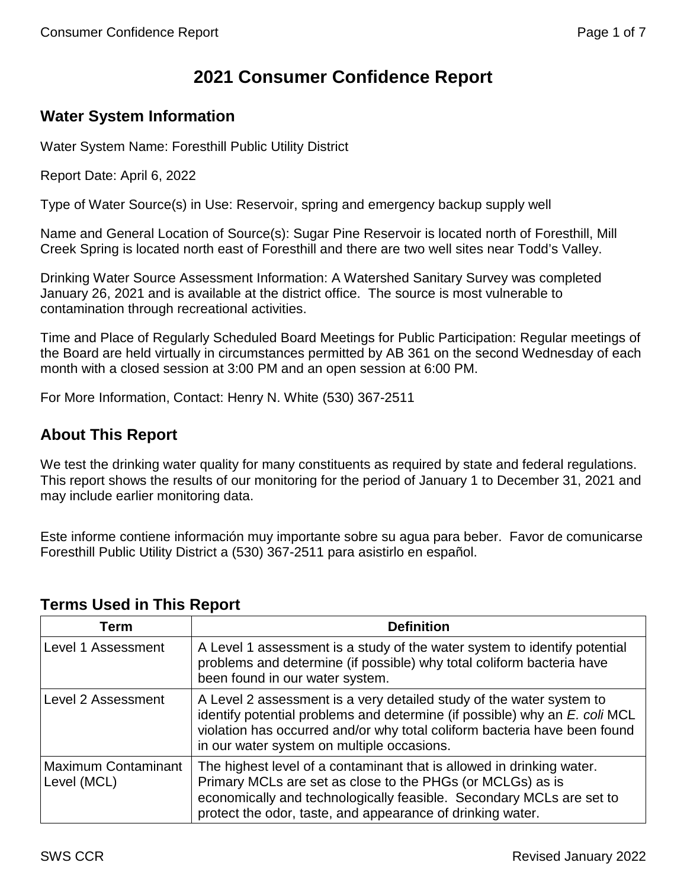# **2021 Consumer Confidence Report**

# **Water System Information**

Water System Name: Foresthill Public Utility District

Report Date: April 6, 2022

Type of Water Source(s) in Use: Reservoir, spring and emergency backup supply well

Name and General Location of Source(s): Sugar Pine Reservoir is located north of Foresthill, Mill Creek Spring is located north east of Foresthill and there are two well sites near Todd's Valley.

Drinking Water Source Assessment Information: A Watershed Sanitary Survey was completed January 26, 2021 and is available at the district office. The source is most vulnerable to contamination through recreational activities.

Time and Place of Regularly Scheduled Board Meetings for Public Participation: Regular meetings of the Board are held virtually in circumstances permitted by AB 361 on the second Wednesday of each month with a closed session at 3:00 PM and an open session at 6:00 PM.

For More Information, Contact: Henry N. White (530) 367-2511

# **About This Report**

We test the drinking water quality for many constituents as required by state and federal regulations. This report shows the results of our monitoring for the period of January 1 to December 31, 2021 and may include earlier monitoring data.

Este informe contiene información muy importante sobre su agua para beber. Favor de comunicarse Foresthill Public Utility District a (530) 367-2511 para asistirlo en español.

| Term                                      | <b>Definition</b>                                                                                                                                                                                                                                                             |
|-------------------------------------------|-------------------------------------------------------------------------------------------------------------------------------------------------------------------------------------------------------------------------------------------------------------------------------|
| <b>Level 1 Assessment</b>                 | A Level 1 assessment is a study of the water system to identify potential<br>problems and determine (if possible) why total coliform bacteria have<br>been found in our water system.                                                                                         |
| Level 2 Assessment                        | A Level 2 assessment is a very detailed study of the water system to<br>identify potential problems and determine (if possible) why an E. coli MCL<br>violation has occurred and/or why total coliform bacteria have been found<br>in our water system on multiple occasions. |
| <b>Maximum Contaminant</b><br>Level (MCL) | The highest level of a contaminant that is allowed in drinking water.<br>Primary MCLs are set as close to the PHGs (or MCLGs) as is<br>economically and technologically feasible. Secondary MCLs are set to<br>protect the odor, taste, and appearance of drinking water.     |

# **Terms Used in This Report**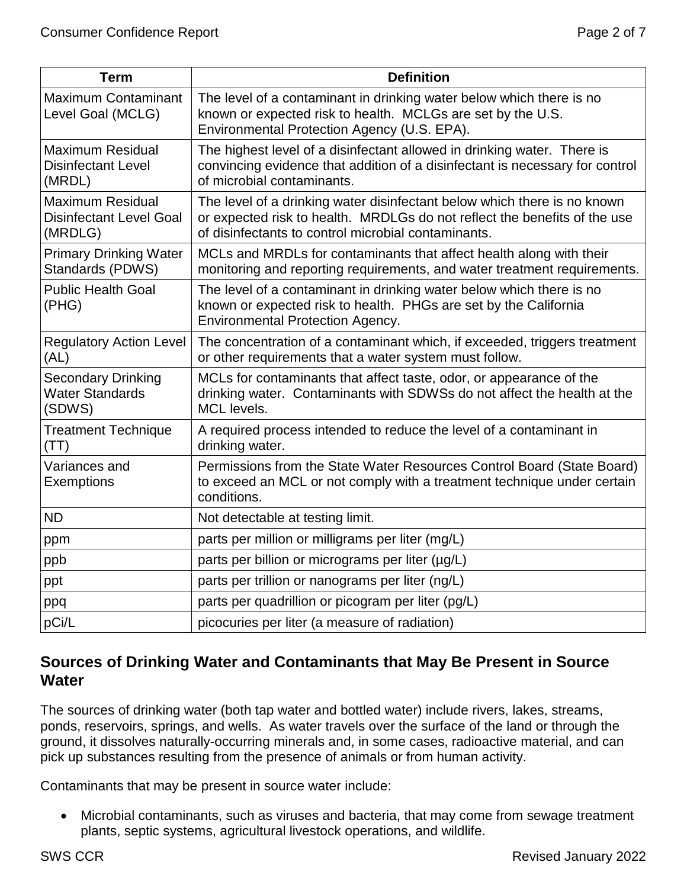| <b>Term</b>                                                          | <b>Definition</b>                                                                                                                                                                                            |
|----------------------------------------------------------------------|--------------------------------------------------------------------------------------------------------------------------------------------------------------------------------------------------------------|
| <b>Maximum Contaminant</b><br>Level Goal (MCLG)                      | The level of a contaminant in drinking water below which there is no<br>known or expected risk to health. MCLGs are set by the U.S.<br>Environmental Protection Agency (U.S. EPA).                           |
| <b>Maximum Residual</b><br><b>Disinfectant Level</b><br>(MRDL)       | The highest level of a disinfectant allowed in drinking water. There is<br>convincing evidence that addition of a disinfectant is necessary for control<br>of microbial contaminants.                        |
| <b>Maximum Residual</b><br><b>Disinfectant Level Goal</b><br>(MRDLG) | The level of a drinking water disinfectant below which there is no known<br>or expected risk to health. MRDLGs do not reflect the benefits of the use<br>of disinfectants to control microbial contaminants. |
| <b>Primary Drinking Water</b><br>Standards (PDWS)                    | MCLs and MRDLs for contaminants that affect health along with their<br>monitoring and reporting requirements, and water treatment requirements.                                                              |
| <b>Public Health Goal</b><br>(PHG)                                   | The level of a contaminant in drinking water below which there is no<br>known or expected risk to health. PHGs are set by the California<br><b>Environmental Protection Agency.</b>                          |
| <b>Regulatory Action Level</b><br>(AL)                               | The concentration of a contaminant which, if exceeded, triggers treatment<br>or other requirements that a water system must follow.                                                                          |
| <b>Secondary Drinking</b><br><b>Water Standards</b><br>(SDWS)        | MCLs for contaminants that affect taste, odor, or appearance of the<br>drinking water. Contaminants with SDWSs do not affect the health at the<br>MCL levels.                                                |
| <b>Treatment Technique</b><br>(TT)                                   | A required process intended to reduce the level of a contaminant in<br>drinking water.                                                                                                                       |
| Variances and<br><b>Exemptions</b>                                   | Permissions from the State Water Resources Control Board (State Board)<br>to exceed an MCL or not comply with a treatment technique under certain<br>conditions.                                             |
| <b>ND</b>                                                            | Not detectable at testing limit.                                                                                                                                                                             |
| ppm                                                                  | parts per million or milligrams per liter (mg/L)                                                                                                                                                             |
| ppb                                                                  | parts per billion or micrograms per liter (µg/L)                                                                                                                                                             |
| ppt                                                                  | parts per trillion or nanograms per liter (ng/L)                                                                                                                                                             |
| ppq                                                                  | parts per quadrillion or picogram per liter (pg/L)                                                                                                                                                           |
| pCi/L                                                                | picocuries per liter (a measure of radiation)                                                                                                                                                                |

# **Sources of Drinking Water and Contaminants that May Be Present in Source Water**

The sources of drinking water (both tap water and bottled water) include rivers, lakes, streams, ponds, reservoirs, springs, and wells. As water travels over the surface of the land or through the ground, it dissolves naturally-occurring minerals and, in some cases, radioactive material, and can pick up substances resulting from the presence of animals or from human activity.

Contaminants that may be present in source water include:

• Microbial contaminants, such as viruses and bacteria, that may come from sewage treatment plants, septic systems, agricultural livestock operations, and wildlife.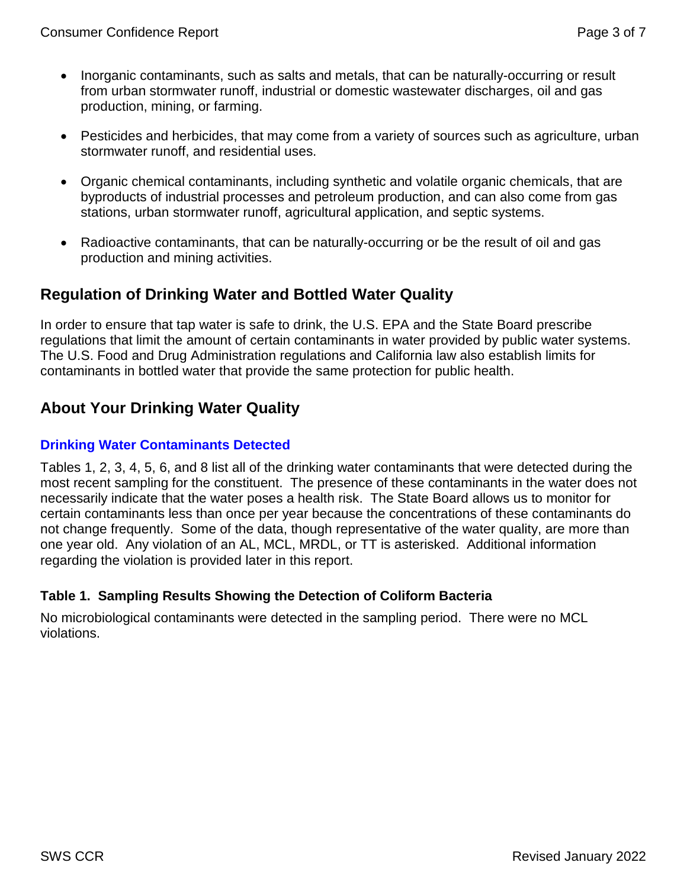- Inorganic contaminants, such as salts and metals, that can be naturally-occurring or result from urban stormwater runoff, industrial or domestic wastewater discharges, oil and gas production, mining, or farming.
- Pesticides and herbicides, that may come from a variety of sources such as agriculture, urban stormwater runoff, and residential uses.
- Organic chemical contaminants, including synthetic and volatile organic chemicals, that are byproducts of industrial processes and petroleum production, and can also come from gas stations, urban stormwater runoff, agricultural application, and septic systems.
- Radioactive contaminants, that can be naturally-occurring or be the result of oil and gas production and mining activities.

# **Regulation of Drinking Water and Bottled Water Quality**

In order to ensure that tap water is safe to drink, the U.S. EPA and the State Board prescribe regulations that limit the amount of certain contaminants in water provided by public water systems. The U.S. Food and Drug Administration regulations and California law also establish limits for contaminants in bottled water that provide the same protection for public health.

# **About Your Drinking Water Quality**

#### **Drinking Water Contaminants Detected**

Tables 1, 2, 3, 4, 5, 6, and 8 list all of the drinking water contaminants that were detected during the most recent sampling for the constituent. The presence of these contaminants in the water does not necessarily indicate that the water poses a health risk. The State Board allows us to monitor for certain contaminants less than once per year because the concentrations of these contaminants do not change frequently. Some of the data, though representative of the water quality, are more than one year old. Any violation of an AL, MCL, MRDL, or TT is asterisked. Additional information regarding the violation is provided later in this report.

## **Table 1. Sampling Results Showing the Detection of Coliform Bacteria**

No microbiological contaminants were detected in the sampling period. There were no MCL violations.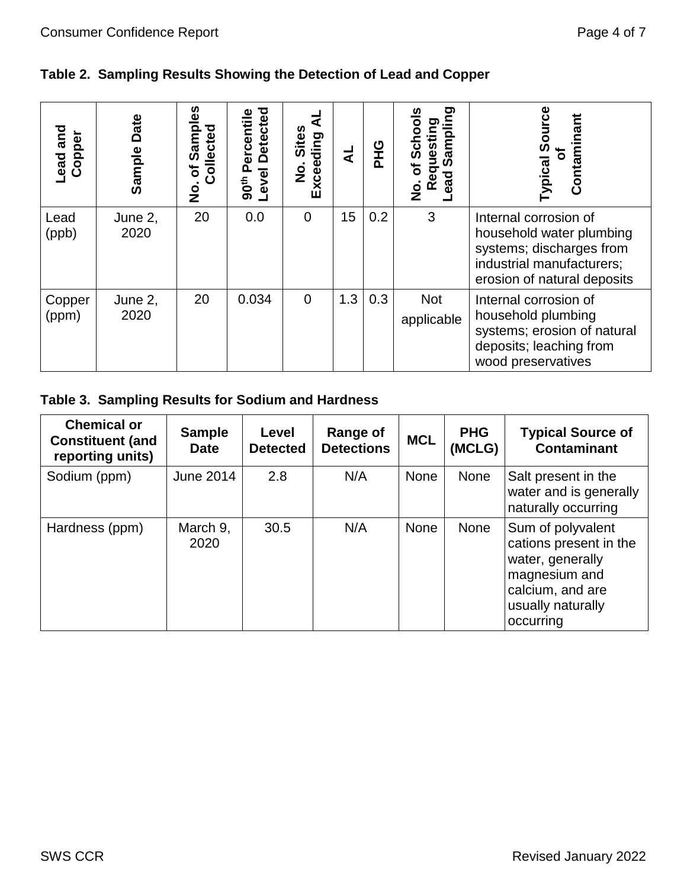# **Table 2. Sampling Results Showing the Detection of Lead and Copper**

| Lead and<br>Copper | Date<br>Sample  | <b>ഗ</b><br>ampl<br>Collected<br>Ŵ<br>৳<br><u>o</u><br>2 | <b>Detected</b><br>ercentile<br>Level<br>90 <sup>th</sup> | <b>Sites</b><br>Exceeding<br>$\dot{\mathbf{z}}$ | ₹   | <b>PHG</b> | ත<br><u>ממו</u><br>풊<br>ت<br>ಔ<br>ω<br>৳<br>σ<br>ਹ<br>ω<br><u>ର</u><br>œ<br>$\frac{\mathsf{o}}{\mathsf{z}}$ | Contaminant<br>Sour<br>৳<br>Typical                                                                                                       |
|--------------------|-----------------|----------------------------------------------------------|-----------------------------------------------------------|-------------------------------------------------|-----|------------|-------------------------------------------------------------------------------------------------------------|-------------------------------------------------------------------------------------------------------------------------------------------|
| Lead<br>(ppb)      | June 2,<br>2020 | 20                                                       | 0.0                                                       | 0                                               | 15  | 0.2        | 3                                                                                                           | Internal corrosion of<br>household water plumbing<br>systems; discharges from<br>industrial manufacturers;<br>erosion of natural deposits |
| Copper<br>(ppm)    | June 2,<br>2020 | 20                                                       | 0.034                                                     | $\Omega$                                        | 1.3 | 0.3        | <b>Not</b><br>applicable                                                                                    | Internal corrosion of<br>household plumbing<br>systems; erosion of natural<br>deposits; leaching from<br>wood preservatives               |

# **Table 3. Sampling Results for Sodium and Hardness**

| <b>Chemical or</b><br><b>Constituent (and</b><br>reporting units) | <b>Sample</b><br><b>Date</b> | Level<br><b>Detected</b> | Range of<br><b>Detections</b> | <b>MCL</b> | <b>PHG</b><br>(MCLG) | <b>Typical Source of</b><br><b>Contaminant</b>                                                                                         |
|-------------------------------------------------------------------|------------------------------|--------------------------|-------------------------------|------------|----------------------|----------------------------------------------------------------------------------------------------------------------------------------|
| Sodium (ppm)                                                      | June 2014                    | 2.8                      | N/A                           | None       | None                 | Salt present in the<br>water and is generally<br>naturally occurring                                                                   |
| Hardness (ppm)                                                    | March 9,<br>2020             | 30.5                     | N/A                           | None       | <b>None</b>          | Sum of polyvalent<br>cations present in the<br>water, generally<br>magnesium and<br>calcium, and are<br>usually naturally<br>occurring |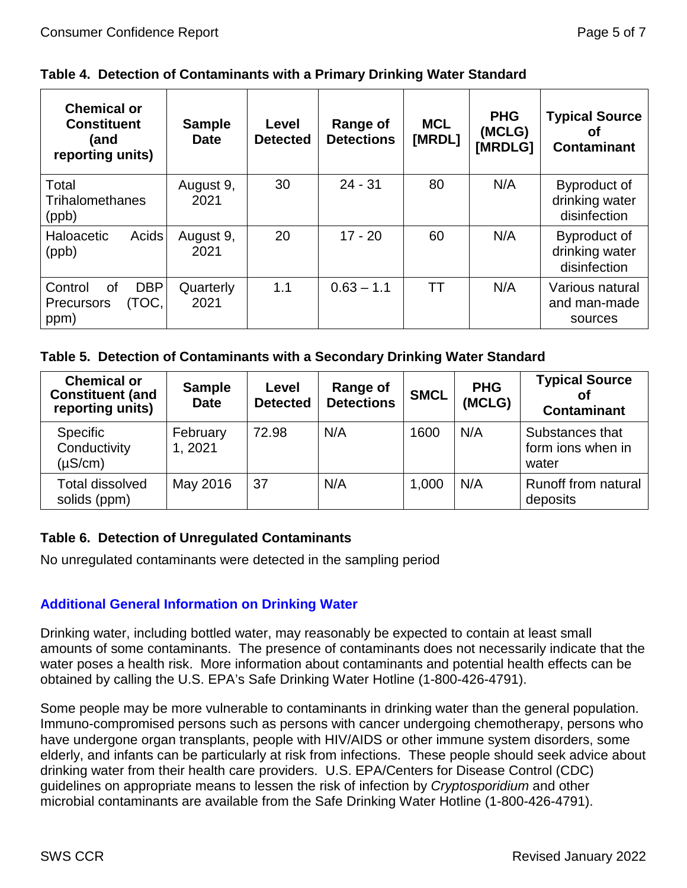|  |  |  |  | Table 4. Detection of Contaminants with a Primary Drinking Water Standard |  |
|--|--|--|--|---------------------------------------------------------------------------|--|
|--|--|--|--|---------------------------------------------------------------------------|--|

| <b>Chemical or</b><br><b>Constituent</b><br>(and<br>reporting units) | <b>Sample</b><br>Date | Level<br><b>Detected</b> | Range of<br><b>Detections</b> | <b>MCL</b><br>[MRDL] | <b>PHG</b><br>(MCLG)<br>[MRDLG] | <b>Typical Source</b><br>Οt<br><b>Contaminant</b> |
|----------------------------------------------------------------------|-----------------------|--------------------------|-------------------------------|----------------------|---------------------------------|---------------------------------------------------|
| Total<br><b>Trihalomethanes</b><br>(ppb)                             | August 9,<br>2021     | 30                       | $24 - 31$                     | 80                   | N/A                             | Byproduct of<br>drinking water<br>disinfection    |
| Acids<br>Haloacetic<br>(ppb)                                         | August 9,<br>2021     | 20                       | $17 - 20$                     | 60                   | N/A                             | Byproduct of<br>drinking water<br>disinfection    |
| <b>DBP</b><br>Control<br>Ωf<br>(TOC,<br><b>Precursors</b><br>ppm)    | Quarterly<br>2021     | 1.1                      | $0.63 - 1.1$                  | ТT                   | N/A                             | Various natural<br>and man-made<br>sources        |

#### **Table 5. Detection of Contaminants with a Secondary Drinking Water Standard**

| <b>Chemical or</b><br><b>Constituent (and</b><br>reporting units) | <b>Sample</b><br><b>Date</b> | Level<br><b>Detected</b> | Range of<br><b>Detections</b> | <b>SMCL</b> | <b>PHG</b><br>(MCLG) | <b>Typical Source</b><br>оf<br><b>Contaminant</b> |
|-------------------------------------------------------------------|------------------------------|--------------------------|-------------------------------|-------------|----------------------|---------------------------------------------------|
| <b>Specific</b><br>Conductivity<br>$(\mu S/cm)$                   | February<br>1, 2021          | 72.98                    | N/A                           | 1600        | N/A                  | Substances that<br>form ions when in<br>water     |
| <b>Total dissolved</b><br>solids (ppm)                            | May 2016                     | 37                       | N/A                           | 1,000       | N/A                  | <b>Runoff from natural</b><br>deposits            |

#### **Table 6. Detection of Unregulated Contaminants**

No unregulated contaminants were detected in the sampling period

## **Additional General Information on Drinking Water**

Drinking water, including bottled water, may reasonably be expected to contain at least small amounts of some contaminants. The presence of contaminants does not necessarily indicate that the water poses a health risk. More information about contaminants and potential health effects can be obtained by calling the U.S. EPA's Safe Drinking Water Hotline (1-800-426-4791).

Some people may be more vulnerable to contaminants in drinking water than the general population. Immuno-compromised persons such as persons with cancer undergoing chemotherapy, persons who have undergone organ transplants, people with HIV/AIDS or other immune system disorders, some elderly, and infants can be particularly at risk from infections. These people should seek advice about drinking water from their health care providers. U.S. EPA/Centers for Disease Control (CDC) guidelines on appropriate means to lessen the risk of infection by *Cryptosporidium* and other microbial contaminants are available from the Safe Drinking Water Hotline (1-800-426-4791).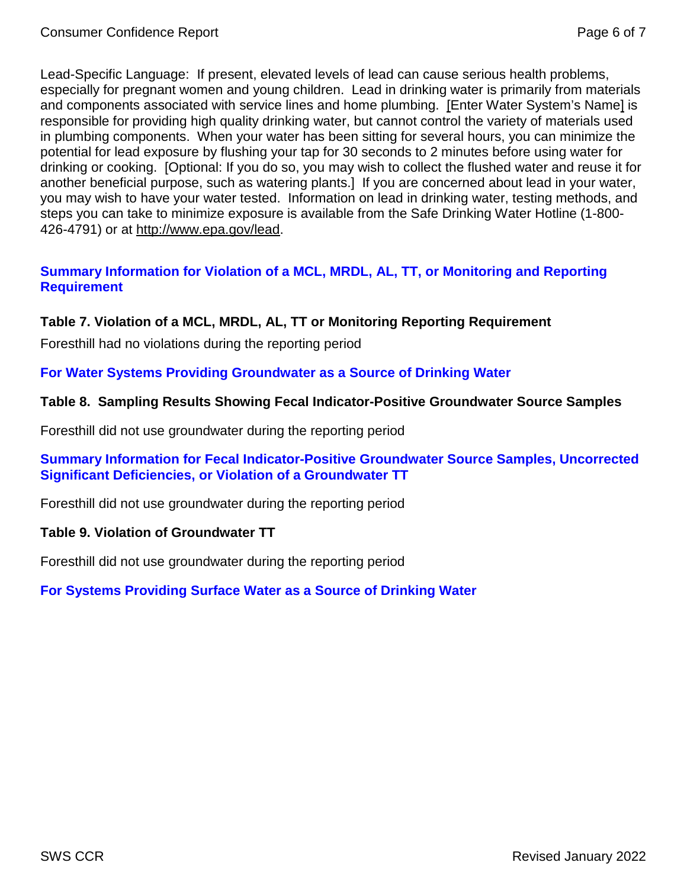Lead-Specific Language: If present, elevated levels of lead can cause serious health problems, especially for pregnant women and young children. Lead in drinking water is primarily from materials and components associated with service lines and home plumbing. [Enter Water System's Name] is responsible for providing high quality drinking water, but cannot control the variety of materials used in plumbing components. When your water has been sitting for several hours, you can minimize the potential for lead exposure by flushing your tap for 30 seconds to 2 minutes before using water for drinking or cooking. [Optional: If you do so, you may wish to collect the flushed water and reuse it for another beneficial purpose, such as watering plants.] If you are concerned about lead in your water, you may wish to have your water tested. Information on lead in drinking water, testing methods, and steps you can take to minimize exposure is available from the Safe Drinking Water Hotline (1-800- 426-4791) or at [http://www.epa.gov/lead.](http://www.epa.gov/lead)

## **Summary Information for Violation of a MCL, MRDL, AL, TT, or Monitoring and Reporting Requirement**

## **Table 7. Violation of a MCL, MRDL, AL, TT or Monitoring Reporting Requirement**

Foresthill had no violations during the reporting period

#### **For Water Systems Providing Groundwater as a Source of Drinking Water**

#### **Table 8. Sampling Results Showing Fecal Indicator-Positive Groundwater Source Samples**

Foresthill did not use groundwater during the reporting period

#### **Summary Information for Fecal Indicator-Positive Groundwater Source Samples, Uncorrected Significant Deficiencies, or Violation of a Groundwater TT**

Foresthill did not use groundwater during the reporting period

#### **Table 9. Violation of Groundwater TT**

Foresthill did not use groundwater during the reporting period

#### **For Systems Providing Surface Water as a Source of Drinking Water**